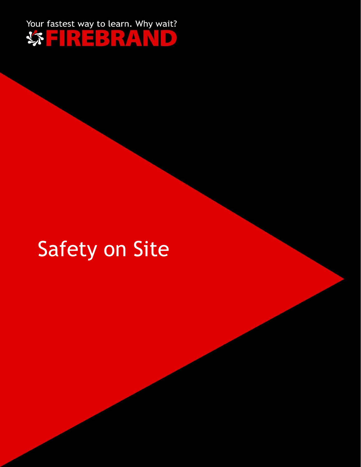

## Safety on Site